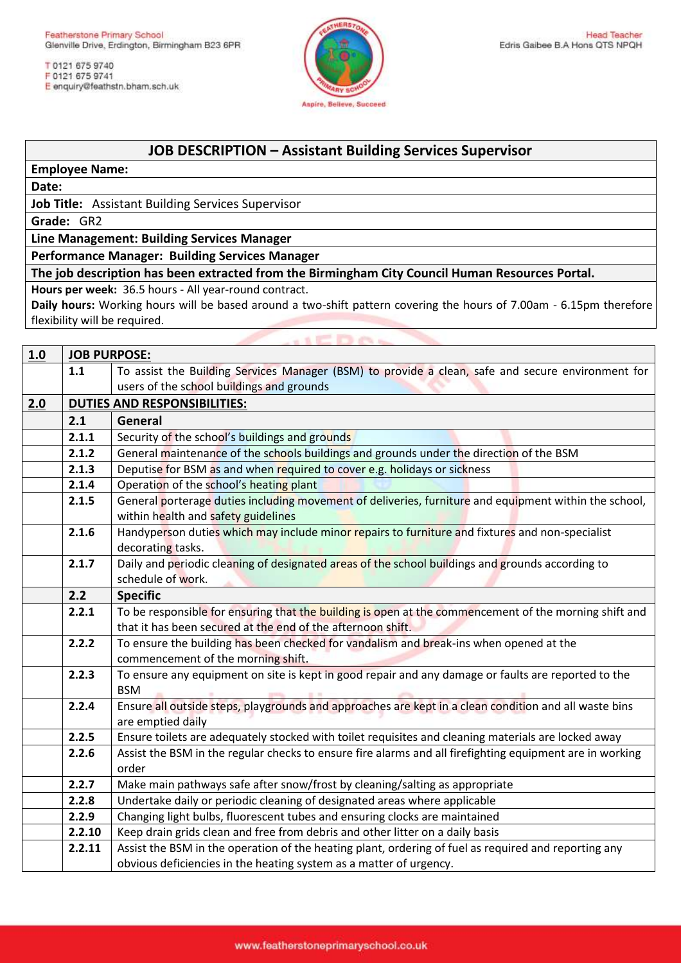T 0121 675 9740 F 0121 675 9741 E enquiry@feathstn.bham.sch.uk



## **JOB DESCRIPTION – Assistant Building Services Supervisor**

**Employee Name:** 

**Date:**

**Job Title:** Assistant Building Services Supervisor

**Grade:** GR2

**Line Management: Building Services Manager** 

**Performance Manager: Building Services Manager**

**The job description has been extracted from the Birmingham City Council Human Resources Portal.**

**Hours per week:** 36.5 hours - All year-round contract.

**Daily hours:** Working hours will be based around a two-shift pattern covering the hours of 7.00am - 6.15pm therefore flexibility will be required.

|     | <b>SEDAS</b> |                                                                                                          |  |  |  |
|-----|--------------|----------------------------------------------------------------------------------------------------------|--|--|--|
| 1.0 |              | <b>JOB PURPOSE:</b>                                                                                      |  |  |  |
|     | 1.1          | To assist the Building Services Manager (BSM) to provide a clean, safe and secure environment for        |  |  |  |
|     |              | users of the school buildings and grounds                                                                |  |  |  |
| 2.0 |              | <b>DUTIES AND RESPONSIBILITIES:</b>                                                                      |  |  |  |
|     | 2.1          | General                                                                                                  |  |  |  |
|     | 2.1.1        | Security of the school's buildings and grounds                                                           |  |  |  |
|     | 2.1.2        | General maintenance of the schools buildings and grounds under the direction of the BSM                  |  |  |  |
|     | 2.1.3        | Deputise for BSM as and when required to cover e.g. holidays or sickness                                 |  |  |  |
|     | 2.1.4        | Operation of the school's heating plant                                                                  |  |  |  |
|     | 2.1.5        | General porterage duties including movement of deliveries, furniture and equipment within the school,    |  |  |  |
|     |              | within health and safety guidelines                                                                      |  |  |  |
|     | 2.1.6        | Handyperson duties which may include minor repairs to furniture and fixtures and non-specialist          |  |  |  |
|     |              | decorating tasks.                                                                                        |  |  |  |
|     | 2.1.7        | Daily and periodic cleaning of designated areas of the school buildings and grounds according to         |  |  |  |
|     |              | schedule of work.                                                                                        |  |  |  |
|     | 2.2          | <b>Specific</b>                                                                                          |  |  |  |
|     | 2.2.1        | To be responsible for ensuring that the building is open at the commencement of the morning shift and    |  |  |  |
|     |              | that it has been secured at the end of the afternoon shift.                                              |  |  |  |
|     | 2.2.2        | To ensure the building has been checked for vandalism and break-ins when opened at the                   |  |  |  |
|     |              | commencement of the morning shift.                                                                       |  |  |  |
|     | 2.2.3        | To ensure any equipment on site is kept in good repair and any damage or faults are reported to the      |  |  |  |
|     |              | <b>BSM</b>                                                                                               |  |  |  |
|     | 2.2.4        | Ensure all outside steps, playgrounds and approaches are kept in a clean condition and all waste bins    |  |  |  |
|     |              | are emptied daily                                                                                        |  |  |  |
|     | 2.2.5        | Ensure toilets are adequately stocked with toilet requisites and cleaning materials are locked away      |  |  |  |
|     | 2.2.6        | Assist the BSM in the regular checks to ensure fire alarms and all firefighting equipment are in working |  |  |  |
|     |              | order                                                                                                    |  |  |  |
|     | 2.2.7        | Make main pathways safe after snow/frost by cleaning/salting as appropriate                              |  |  |  |
|     | 2.2.8        | Undertake daily or periodic cleaning of designated areas where applicable                                |  |  |  |
|     | 2.2.9        | Changing light bulbs, fluorescent tubes and ensuring clocks are maintained                               |  |  |  |
|     | 2.2.10       | Keep drain grids clean and free from debris and other litter on a daily basis                            |  |  |  |
|     | 2.2.11       | Assist the BSM in the operation of the heating plant, ordering of fuel as required and reporting any     |  |  |  |
|     |              | obvious deficiencies in the heating system as a matter of urgency.                                       |  |  |  |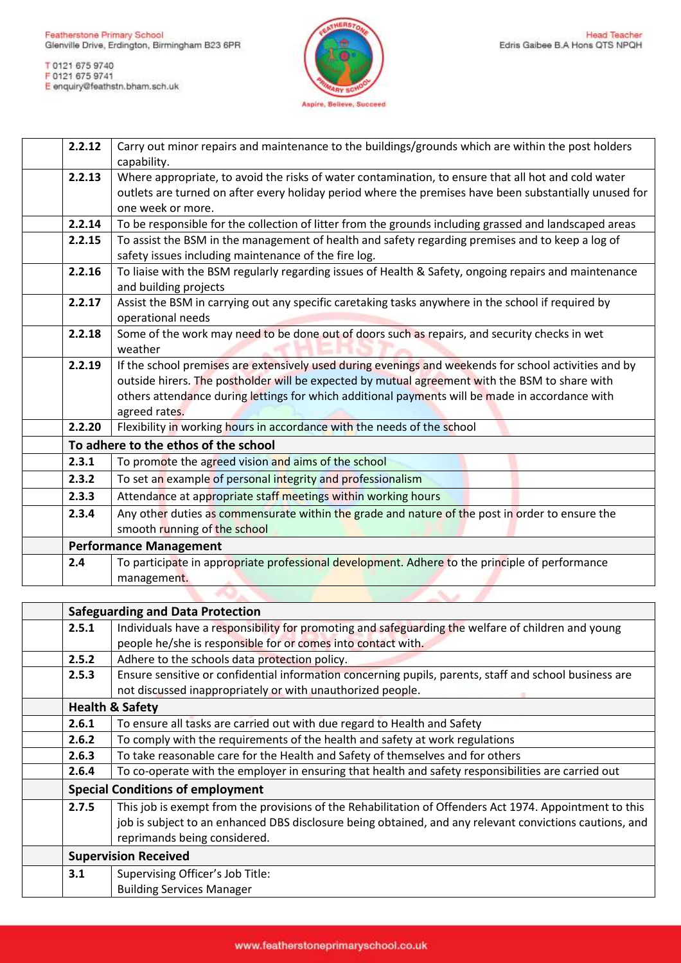

| 2.2.12 | Carry out minor repairs and maintenance to the buildings/grounds which are within the post holders<br>capability.           |
|--------|-----------------------------------------------------------------------------------------------------------------------------|
| 2.2.13 |                                                                                                                             |
|        | Where appropriate, to avoid the risks of water contamination, to ensure that all hot and cold water                         |
|        | outlets are turned on after every holiday period where the premises have been substantially unused for<br>one week or more. |
|        |                                                                                                                             |
| 2.2.14 | To be responsible for the collection of litter from the grounds including grassed and landscaped areas                      |
| 2.2.15 | To assist the BSM in the management of health and safety regarding premises and to keep a log of                            |
|        | safety issues including maintenance of the fire log.                                                                        |
| 2.2.16 | To liaise with the BSM regularly regarding issues of Health & Safety, ongoing repairs and maintenance                       |
|        | and building projects                                                                                                       |
| 2.2.17 | Assist the BSM in carrying out any specific caretaking tasks anywhere in the school if required by                          |
|        | operational needs                                                                                                           |
| 2.2.18 | Some of the work may need to be done out of doors such as repairs, and security checks in wet                               |
|        | weather                                                                                                                     |
| 2.2.19 | If the school premises are extensively used during evenings and weekends for school activities and by                       |
|        | outside hirers. The postholder will be expected by mutual agreement with the BSM to share with                              |
|        | others attendance during lettings for which additional payments will be made in accordance with                             |
|        | agreed rates.                                                                                                               |
| 2.2.20 | Flexibility in working hours in accordance with the needs of the school                                                     |
|        | To adhere to the ethos of the school                                                                                        |
| 2.3.1  | To promote the agreed vision and aims of the school                                                                         |
| 2.3.2  | To set an example of personal integrity and professionalism                                                                 |
| 2.3.3  | Attendance at appropriate staff meetings within working hours                                                               |
| 2.3.4  | Any other duties as commensurate within the grade and nature of the post in order to ensure the                             |
|        | smooth running of the school                                                                                                |
|        | <b>Performance Management</b>                                                                                               |
| 2.4    | To participate in appropriate professional development. Adhere to the principle of performance                              |
|        | management.                                                                                                                 |

| <b>Safeguarding and Data Protection</b> |                                                                                                                                                                                                                                                    |  |
|-----------------------------------------|----------------------------------------------------------------------------------------------------------------------------------------------------------------------------------------------------------------------------------------------------|--|
| 2.5.1                                   | Individuals have a responsibility for promoting and safeguarding the welfare of children and young                                                                                                                                                 |  |
|                                         | people he/she is responsible for or comes into contact with.                                                                                                                                                                                       |  |
| 2.5.2                                   | Adhere to the schools data protection policy.                                                                                                                                                                                                      |  |
| 2.5.3                                   | Ensure sensitive or confidential information concerning pupils, parents, staff and school business are                                                                                                                                             |  |
|                                         | not discussed inappropriately or with unauthorized people.                                                                                                                                                                                         |  |
| <b>Health &amp; Safety</b>              |                                                                                                                                                                                                                                                    |  |
| 2.6.1                                   | To ensure all tasks are carried out with due regard to Health and Safety                                                                                                                                                                           |  |
| 2.6.2                                   | To comply with the requirements of the health and safety at work regulations                                                                                                                                                                       |  |
| 2.6.3                                   | To take reasonable care for the Health and Safety of themselves and for others                                                                                                                                                                     |  |
| 2.6.4                                   | To co-operate with the employer in ensuring that health and safety responsibilities are carried out                                                                                                                                                |  |
|                                         | <b>Special Conditions of employment</b>                                                                                                                                                                                                            |  |
| 2.7.5                                   | This job is exempt from the provisions of the Rehabilitation of Offenders Act 1974. Appointment to this<br>job is subject to an enhanced DBS disclosure being obtained, and any relevant convictions cautions, and<br>reprimands being considered. |  |
| <b>Supervision Received</b>             |                                                                                                                                                                                                                                                    |  |
| 3.1                                     | Supervising Officer's Job Title:                                                                                                                                                                                                                   |  |
|                                         | <b>Building Services Manager</b>                                                                                                                                                                                                                   |  |